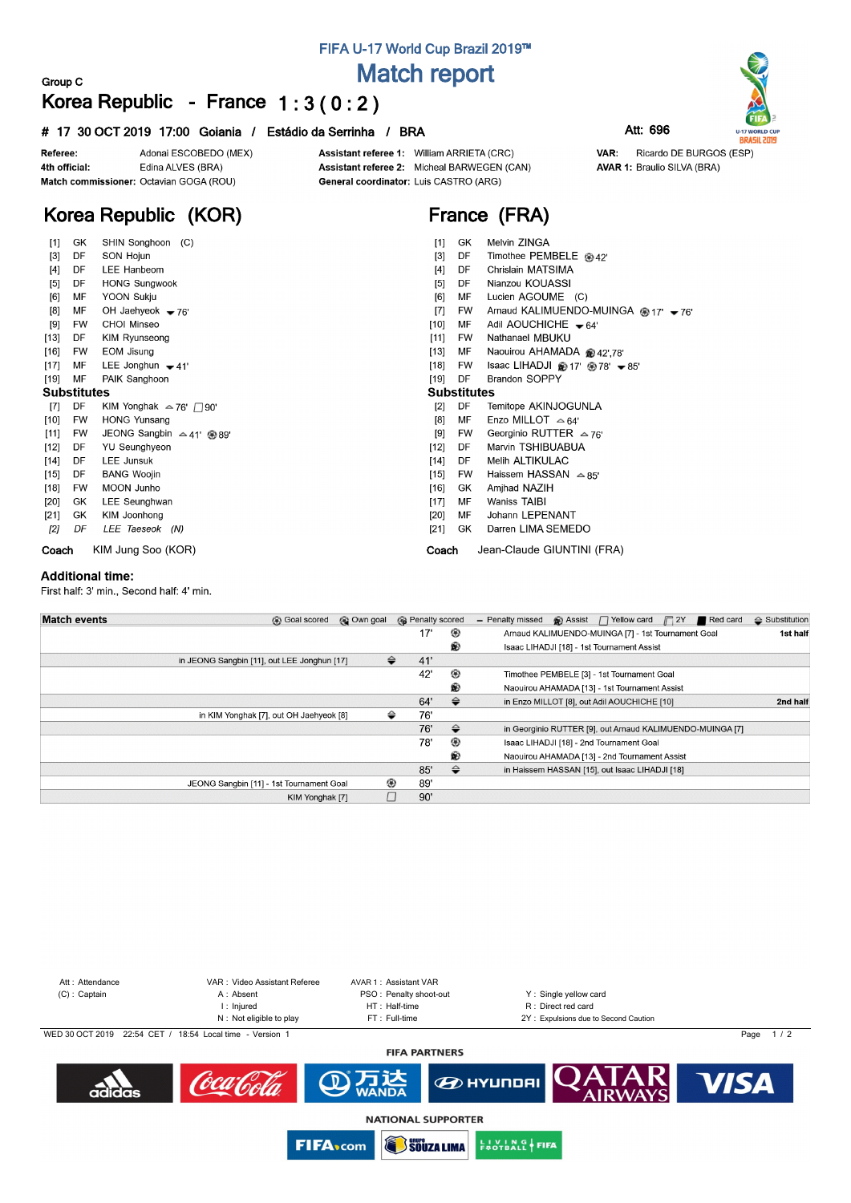### **FIFA U-17 World Cup Brazil 2019™**

## **Match report**

### **Korea Republic - France 1 : 3 ( 0 : 2 )**

#### **# 17 30 OCT 2019 17:00 Goiania / Estádio da Serrinha / BRA Att: 696**



**Group C**

Assistant referee 1: William ARRIETA (CRC) Assistant referee 2: Micheal BARWEGEN (CAN) General coordinator: Luis CASTRO (ARG)

**France (FRA)**



**AVAR 1: Braulio SILVA (BRA)** 

Ricardo DE BURGOS (ESP)

VAR:

**U-17 WORLD CUP**<br>**BRASIL 2019** 

# **Korea Republic (KOR)**

| $[1]$  | GK                 | SHIN Songhoon (C)                    | Melvin ZINGA<br>GK<br>$[1]$                                         |
|--------|--------------------|--------------------------------------|---------------------------------------------------------------------|
| $[3]$  | DF                 | SON Hojun                            | Timothee PEMBELE @ 42'<br>$[3]$<br>DF                               |
| $[4]$  | DF                 | LEE Hanbeom                          | Chrislain MATSIMA<br>$[4]$<br>DF                                    |
| [5]    | DF                 | <b>HONG Sungwook</b>                 | Nianzou KOUASSI<br>[5]<br>DF                                        |
| [6]    | MF                 | YOON Sukju                           | Lucien AGOUME (C)<br>[6]<br>MF                                      |
| [8]    | MF                 | OH Jaehyeok $-76'$                   | Arnaud KALIMUENDO-MUINGA @ 17' - 76'<br>$[7]$<br>FW                 |
| [9]    | <b>FW</b>          | CHOI Minseo                          | Adil AOUCHICHE $-64$<br>$[10]$<br>МF                                |
| $[13]$ | DF                 | KIM Ryunseong                        | Nathanael MBUKU<br>$[11]$<br>FW                                     |
| $[16]$ | FW                 | EOM Jisung                           | $[13]$<br>Naouirou AHAMADA @ 42',78'<br>МF                          |
| $[17]$ | МF                 | LEE Jonghun $-41$                    | $[18]$<br>Isaac LIHADJI @ 17' @ 78' $\blacktriangleright$ 85'<br>FW |
| $[19]$ | MF                 | PAIK Sanghoon                        | [19]<br><b>Brandon SOPPY</b><br>DF                                  |
|        | <b>Substitutes</b> |                                      | <b>Substitutes</b>                                                  |
| [7]    | DF                 | KIM Yonghak $\approx$ 76' $\Box$ 90' | [2]<br>DF<br>Temitope AKINJOGUNLA                                   |
| $[10]$ | <b>FW</b>          | <b>HONG Yunsang</b>                  | Enzo MILLOT $\approx 64'$<br>[8]<br>МF                              |
| $[11]$ | FW                 | JEONG Sangbin $\approx$ 41' @ 89'    | Georginio RUTTER $\approx$ 76'<br>$^{[9]}$<br>FW                    |
| $[12]$ | DF                 | YU Seunghyeon                        | $[12]$<br>Marvin TSHIBUABUA<br>DF                                   |
| $[14]$ | DF                 | <b>LEE Junsuk</b>                    | Melih ALTIKULAC<br>$[14]$<br>DF                                     |
| $[15]$ | DF                 | <b>BANG Woojin</b>                   | Haissem HASSAN $\approx$ 85'<br>$[15]$<br>FW                        |
| $[18]$ | FW                 | <b>MOON Junho</b>                    | $[16]$<br>Amjhad NAZIH<br>GK                                        |
| $[20]$ | GK                 | LEE Seunghwan                        | Waniss TAIBI<br>$[17]$<br>МF                                        |
| $[21]$ | GK                 | KIM Joonhong                         | Johann LEPENANT<br>$[20]$<br>МF                                     |
| [2]    | DF                 | LEE Taeseok (N)                      | Darren LIMA SEMEDO<br>$[21]$<br>GK                                  |
| Coach  |                    | KIM Jung Soo (KOR)                   | Jean-Claude GIUNTINI (FRA)<br>Coach                                 |

#### **Additional time:**

First half: 3' min., Second half: 4' min.

| <b>Match events</b> | © Own goal<br><b>B</b> Goal scored          |   | <b>R</b> Penalty scored |               | $\bigcirc$ Assist $\bigcap$ Yellow card<br>$\sqrt{2Y}$<br>Red card<br>- Penalty missed | $\Leftrightarrow$ Substitution |
|---------------------|---------------------------------------------|---|-------------------------|---------------|----------------------------------------------------------------------------------------|--------------------------------|
|                     |                                             |   | 17'                     | ⊛             | Arnaud KALIMUENDO-MUINGA [7] - 1st Tournament Goal                                     | 1st half                       |
|                     |                                             |   |                         | ®             | Isaac LIHADJI [18] - 1st Tournament Assist                                             |                                |
|                     | in JEONG Sangbin [11], out LEE Jonghun [17] | ⇔ | 41'                     |               |                                                                                        |                                |
|                     |                                             |   | 42'                     | ⊛             | Timothee PEMBELE [3] - 1st Tournament Goal                                             |                                |
|                     |                                             |   |                         | ®             | Naouirou AHAMADA [13] - 1st Tournament Assist                                          |                                |
|                     |                                             |   | 64'                     | $\Rightarrow$ | in Enzo MILLOT [8], out Adil AOUCHICHE [10]                                            | 2nd half                       |
|                     | in KIM Yonghak [7], out OH Jaehyeok [8]     | ⇔ | 76'                     |               |                                                                                        |                                |
|                     |                                             |   | 76'                     | $\Rightarrow$ | in Georginio RUTTER [9], out Arnaud KALIMUENDO-MUINGA [7]                              |                                |
|                     |                                             |   | 78'                     | ⊛             | Isaac LIHADJI [18] - 2nd Tournament Goal                                               |                                |
|                     |                                             |   |                         | ⊛             | Naouirou AHAMADA [13] - 2nd Tournament Assist                                          |                                |
|                     |                                             |   | 85'                     | ⇔             | in Haissem HASSAN [15], out Isaac LIHADJI [18]                                         |                                |
|                     | JEONG Sangbin [11] - 1st Tournament Goal    | ⊛ | 89'                     |               |                                                                                        |                                |
|                     | KIM Yonghak [7]                             |   | 90'                     |               |                                                                                        |                                |



**NATIONAL SUPPORTER** 

**EN VING FIFA FIFA**<sub>com</sub> **SOUZA LIMA**